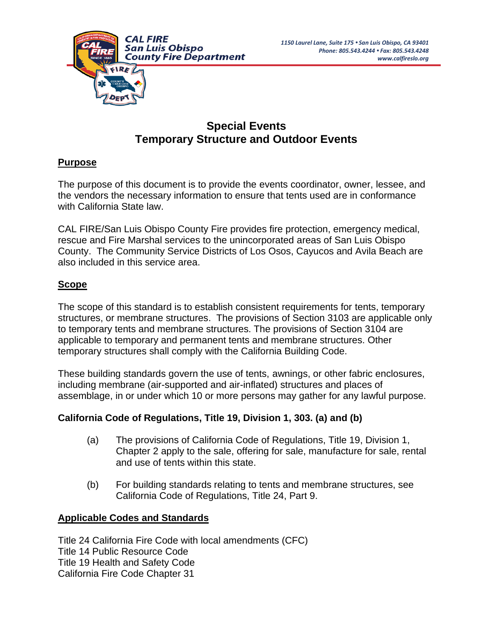

# **Special Events Temporary Structure and Outdoor Events**

## **Purpose**

The purpose of this document is to provide the events coordinator, owner, lessee, and the vendors the necessary information to ensure that tents used are in conformance with California State law.

CAL FIRE/San Luis Obispo County Fire provides fire protection, emergency medical, rescue and Fire Marshal services to the unincorporated areas of San Luis Obispo County. The Community Service Districts of Los Osos, Cayucos and Avila Beach are also included in this service area.

## **Scope**

The scope of this standard is to establish consistent requirements for tents, temporary structures, or membrane structures. The provisions of Section 3103 are applicable only to temporary tents and membrane structures. The provisions of Section 3104 are applicable to temporary and permanent tents and membrane structures. Other temporary structures shall comply with the California Building Code.

These building standards govern the use of tents, awnings, or other fabric enclosures, including membrane (air-supported and air-inflated) structures and places of assemblage, in or under which 10 or more persons may gather for any lawful purpose.

## **California Code of Regulations, Title 19, Division 1, 303. (a) and (b)**

- (a) The provisions of California Code of Regulations, Title 19, Division 1, Chapter 2 apply to the sale, offering for sale, manufacture for sale, rental and use of tents within this state.
- (b) For building standards relating to tents and membrane structures, see California Code of Regulations, Title 24, Part 9.

## **Applicable Codes and Standards**

Title 24 California Fire Code with local amendments (CFC) Title 14 Public Resource Code Title 19 Health and Safety Code California Fire Code Chapter 31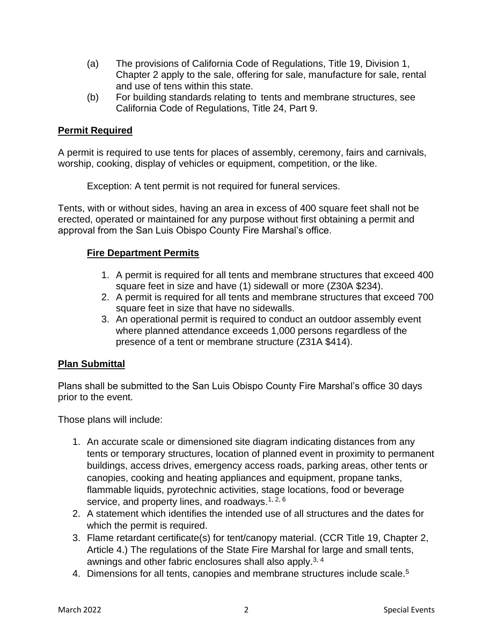- (a) The provisions of California Code of Regulations, Title 19, Division 1, Chapter 2 apply to the sale, offering for sale, manufacture for sale, rental and use of tens within this state.
- (b) For building standards relating to tents and membrane structures, see California Code of Regulations, Title 24, Part 9.

## **Permit Required**

A permit is required to use tents for places of assembly, ceremony, fairs and carnivals, worship, cooking, display of vehicles or equipment, competition, or the like.

Exception: A tent permit is not required for funeral services.

Tents, with or without sides, having an area in excess of 400 square feet shall not be erected, operated or maintained for any purpose without first obtaining a permit and approval from the San Luis Obispo County Fire Marshal's office.

## **Fire Department Permits**

- 1. A permit is required for all tents and membrane structures that exceed 400 square feet in size and have (1) sidewall or more (Z30A \$234).
- 2. A permit is required for all tents and membrane structures that exceed 700 square feet in size that have no sidewalls.
- 3. An operational permit is required to conduct an outdoor assembly event where planned attendance exceeds 1,000 persons regardless of the presence of a tent or membrane structure (Z31A \$414).

## **Plan Submittal**

Plans shall be submitted to the San Luis Obispo County Fire Marshal's office 30 days prior to the event.

Those plans will include:

- 1. An accurate scale or dimensioned site diagram indicating distances from any tents or temporary structures, location of planned event in proximity to permanent buildings, access drives, emergency access roads, parking areas, other tents or canopies, cooking and heating appliances and equipment, propane tanks, flammable liquids, pyrotechnic activities, stage locations, food or beverage service, and property lines, and roadways. $1, 2, 6$
- 2. A statement which identifies the intended use of all structures and the dates for which the permit is required.
- 3. Flame retardant certificate(s) for tent/canopy material. (CCR Title 19, Chapter 2, Article 4.) The regulations of the State Fire Marshal for large and small tents, awnings and other fabric enclosures shall also apply.<sup>3, 4</sup>
- 4. Dimensions for all tents, canopies and membrane structures include scale.<sup>5</sup>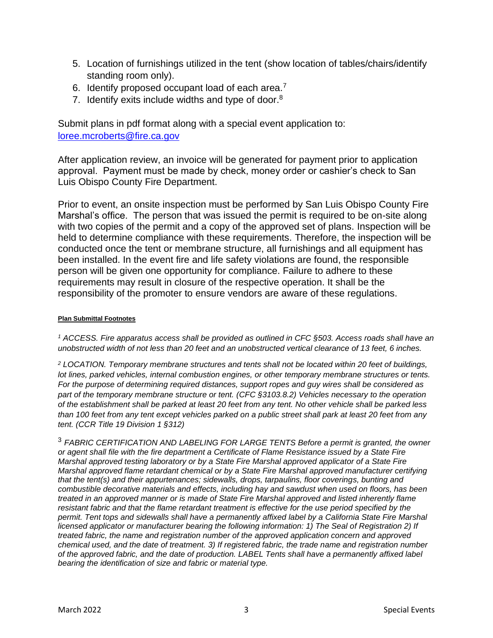- 5. Location of furnishings utilized in the tent (show location of tables/chairs/identify standing room only).
- 6. Identify proposed occupant load of each area. $7$
- 7. Identify exits include widths and type of door.<sup>8</sup>

Submit plans in pdf format along with a special event application to: [loree.mcroberts@fire.ca.gov](mailto:loree.mcroberts@fire.ca.gov)

After application review, an invoice will be generated for payment prior to application approval. Payment must be made by check, money order or cashier's check to San Luis Obispo County Fire Department.

Prior to event, an onsite inspection must be performed by San Luis Obispo County Fire Marshal's office. The person that was issued the permit is required to be on-site along with two copies of the permit and a copy of the approved set of plans. Inspection will be held to determine compliance with these requirements. Therefore, the inspection will be conducted once the tent or membrane structure, all furnishings and all equipment has been installed. In the event fire and life safety violations are found, the responsible person will be given one opportunity for compliance. Failure to adhere to these requirements may result in closure of the respective operation. It shall be the responsibility of the promoter to ensure vendors are aware of these regulations.

#### **Plan Submittal Footnotes**

*<sup>1</sup> ACCESS. Fire apparatus access shall be provided as outlined in CFC §503. Access roads shall have an unobstructed width of not less than 20 feet and an unobstructed vertical clearance of 13 feet, 6 inches.*

*<sup>2</sup> LOCATION. Temporary membrane structures and tents shall not be located within 20 feet of buildings, lot lines, parked vehicles, internal combustion engines, or other temporary membrane structures or tents. For the purpose of determining required distances, support ropes and guy wires shall be considered as part of the temporary membrane structure or tent. (CFC §3103.8.2) Vehicles necessary to the operation of the establishment shall be parked at least 20 feet from any tent. No other vehicle shall be parked less than 100 feet from any tent except vehicles parked on a public street shall park at least 20 feet from any tent. (CCR Title 19 Division 1 §312)*

<sup>3</sup> *FABRIC CERTIFICATION AND LABELING FOR LARGE TENTS Before a permit is granted, the owner or agent shall file with the fire department a Certificate of Flame Resistance issued by a State Fire Marshal approved testing laboratory or by a State Fire Marshal approved applicator of a State Fire Marshal approved flame retardant chemical or by a State Fire Marshal approved manufacturer certifying that the tent(s) and their appurtenances; sidewalls, drops, tarpaulins, floor coverings, bunting and combustible decorative materials and effects, including hay and sawdust when used on floors, has been treated in an approved manner or is made of State Fire Marshal approved and listed inherently flame resistant fabric and that the flame retardant treatment is effective for the use period specified by the permit. Tent tops and sidewalls shall have a permanently affixed label by a California State Fire Marshal licensed applicator or manufacturer bearing the following information: 1) The Seal of Registration 2) If treated fabric, the name and registration number of the approved application concern and approved chemical used, and the date of treatment. 3) If registered fabric, the trade name and registration number of the approved fabric, and the date of production. LABEL Tents shall have a permanently affixed label bearing the identification of size and fabric or material type.*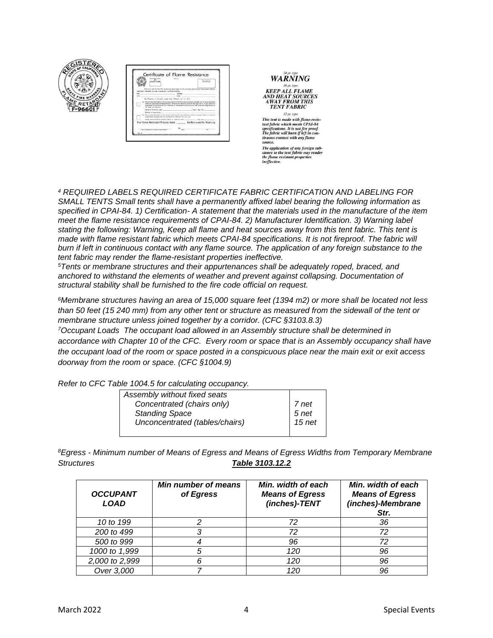

| <b>MOLD RADIO EXECUT</b><br><b>BAAS ALL</b>                                                                                                                                                                                               | <b>David Handbook</b> Inc. |
|-------------------------------------------------------------------------------------------------------------------------------------------------------------------------------------------------------------------------------------------|----------------------------|
| CONCIDENTAL PACIFICATION                                                                                                                                                                                                                  | mail datural               |
|                                                                                                                                                                                                                                           |                            |
| This is to contify that the materials described on the coverage side beyond house beam flame-                                                                                                                                             |                            |
| retainers treated for are inherently nonlineereable).                                                                                                                                                                                     |                            |
| and control<br>Africans                                                                                                                                                                                                                   |                            |
| cry:<br><b>OGSS</b>                                                                                                                                                                                                                       |                            |
|                                                                                                                                                                                                                                           |                            |
| Certification is hereby mode that: (Check "a" or "b")<br>The printer department on the receive side of this Carithmes hand begin insulation from a form associated                                                                        |                            |
| shares and opportunity and registered by the State For Aborded and that the opportunities of each charminal<br>was done in conferences with the boys of the liste of Colfestia and the Subscreed Securitation of<br>the Show Fox Morpher. |                            |
| Seems of chamical used                                                                                                                                                                                                                    | Own Pag No.                |
| Method of specializers                                                                                                                                                                                                                    |                            |
| The entitles dearded on the reserve side funeral and transfer from a financial reservoir future or recrucio<br>registered until opphoned by the Time Fire Marshal for such use.                                                           |                            |
|                                                                                                                                                                                                                                           | <b>Main False</b>          |
| The Flame Retardant Process Used                                                                                                                                                                                                          | Be Removed By Washing      |
|                                                                                                                                                                                                                                           |                            |



*And you're will burn y left* in continuous contact with any flame<br>source.

The application of any foreign sub-<br>stance to the tent fabric may render<br>the flame resistant properties<br>ineffective.

*<sup>4</sup> REQUIRED LABELS REQUIRED CERTIFICATE FABRIC CERTIFICATION AND LABELING FOR SMALL TENTS Small tents shall have a permanently affixed label bearing the following information as specified in CPAI-84. 1) Certification- A statement that the materials used in the manufacture of the item meet the flame resistance requirements of CPAI-84. 2) Manufacturer Identification. 3) Warning label stating the following: Warning, Keep all flame and heat sources away from this tent fabric. This tent is made with flame resistant fabric which meets CPAI-84 specifications. It is not fireproof. The fabric will burn if left in continuous contact with any flame source. The application of any foreign substance to the tent fabric may render the flame-resistant properties ineffective.*

*<sup>5</sup>Tents or membrane structures and their appurtenances shall be adequately roped, braced, and anchored to withstand the elements of weather and prevent against collapsing. Documentation of structural stability shall be furnished to the fire code official on request.* 

*<sup>6</sup>Membrane structures having an area of 15,000 square feet (1394 m2) or more shall be located not less than 50 feet (15 240 mm) from any other tent or structure as measured from the sidewall of the tent or membrane structure unless joined together by a corridor. (CFC §3103.8.3)* 

*<sup>7</sup>Occupant Loads The occupant load allowed in an Assembly structure shall be determined in accordance with Chapter 10 of the CFC. Every room or space that is an Assembly occupancy shall have the occupant load of the room or space posted in a conspicuous place near the main exit or exit access doorway from the room or space. (CFC §1004.9)*

*Refer to CFC Table 1004.5 for calculating occupancy.*

| Assembly without fixed seats   |                   |
|--------------------------------|-------------------|
| Concentrated (chairs only)     |                   |
| <b>Standing Space</b>          | 7 net<br>5 net    |
| Unconcentrated (tables/chairs) | 15 <sub>net</sub> |
|                                |                   |

*<sup>8</sup>Egress - Minimum number of Means of Egress and Means of Egress Widths from Temporary Membrane Structures Table 3103.12.2*

| <b>OCCUPANT</b><br><b>LOAD</b> | Min number of means<br>of Egress | Min. width of each<br><b>Means of Egress</b><br>(inches)-TENT | Min. width of each<br><b>Means of Egress</b><br>(inches)-Membrane<br>Str. |
|--------------------------------|----------------------------------|---------------------------------------------------------------|---------------------------------------------------------------------------|
| 10 to 199                      |                                  | 72                                                            | 36                                                                        |
| 200 to 499                     |                                  | 72                                                            | 72                                                                        |
| 500 to 999                     |                                  | 96                                                            | 72                                                                        |
| 1000 to 1,999                  | 5                                | 120                                                           | 96                                                                        |
| 2,000 to 2,999                 | 6                                | 120                                                           | 96                                                                        |
| Over 3,000                     |                                  | 120                                                           | 96                                                                        |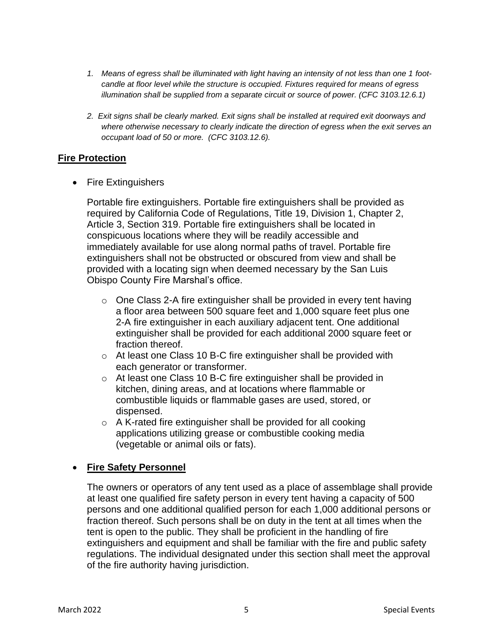- *1. Means of egress shall be illuminated with light having an intensity of not less than one 1 footcandle at floor level while the structure is occupied. Fixtures required for means of egress illumination shall be supplied from a separate circuit or source of power. (CFC 3103.12.6.1)*
- *2. Exit signs shall be clearly marked. Exit signs shall be installed at required exit doorways and where otherwise necessary to clearly indicate the direction of egress when the exit serves an occupant load of 50 or more. (CFC 3103.12.6).*

#### **Fire Protection**

• Fire Extinguishers

Portable fire extinguishers. Portable fire extinguishers shall be provided as required by California Code of Regulations, Title 19, Division 1, Chapter 2, Article 3, Section 319. Portable fire extinguishers shall be located in conspicuous locations where they will be readily accessible and immediately available for use along normal paths of travel. Portable fire extinguishers shall not be obstructed or obscured from view and shall be provided with a locating sign when deemed necessary by the San Luis Obispo County Fire Marshal's office.

- $\circ$  One Class 2-A fire extinguisher shall be provided in every tent having a floor area between 500 square feet and 1,000 square feet plus one 2-A fire extinguisher in each auxiliary adjacent tent. One additional extinguisher shall be provided for each additional 2000 square feet or fraction thereof.
- o At least one Class 10 B-C fire extinguisher shall be provided with each generator or transformer.
- o At least one Class 10 B-C fire extinguisher shall be provided in kitchen, dining areas, and at locations where flammable or combustible liquids or flammable gases are used, stored, or dispensed.
- $\circ$  A K-rated fire extinguisher shall be provided for all cooking applications utilizing grease or combustible cooking media (vegetable or animal oils or fats).

## • **Fire Safety Personnel**

The owners or operators of any tent used as a place of assemblage shall provide at least one qualified fire safety person in every tent having a capacity of 500 persons and one additional qualified person for each 1,000 additional persons or fraction thereof. Such persons shall be on duty in the tent at all times when the tent is open to the public. They shall be proficient in the handling of fire extinguishers and equipment and shall be familiar with the fire and public safety regulations. The individual designated under this section shall meet the approval of the fire authority having jurisdiction.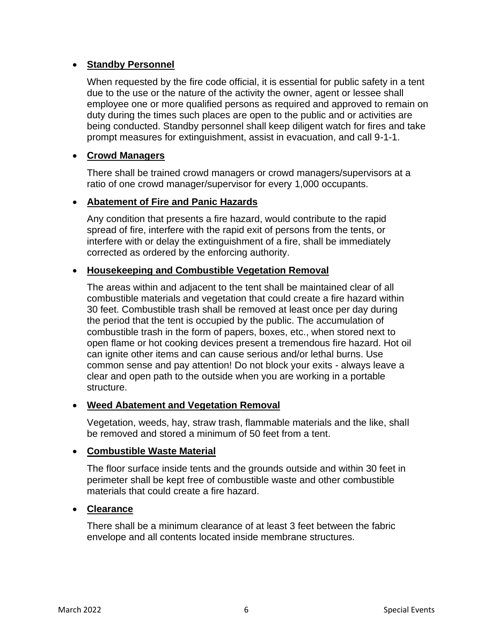### • **Standby Personnel**

When requested by the fire code official, it is essential for public safety in a tent due to the use or the nature of the activity the owner, agent or lessee shall employee one or more qualified persons as required and approved to remain on duty during the times such places are open to the public and or activities are being conducted. Standby personnel shall keep diligent watch for fires and take prompt measures for extinguishment, assist in evacuation, and call 9-1-1.

### • **Crowd Managers**

There shall be trained crowd managers or crowd managers/supervisors at a ratio of one crowd manager/supervisor for every 1,000 occupants.

### • **Abatement of Fire and Panic Hazards**

Any condition that presents a fire hazard, would contribute to the rapid spread of fire, interfere with the rapid exit of persons from the tents, or interfere with or delay the extinguishment of a fire, shall be immediately corrected as ordered by the enforcing authority.

### • **Housekeeping and Combustible Vegetation Removal**

The areas within and adjacent to the tent shall be maintained clear of all combustible materials and vegetation that could create a fire hazard within 30 feet. Combustible trash shall be removed at least once per day during the period that the tent is occupied by the public. The accumulation of combustible trash in the form of papers, boxes, etc., when stored next to open flame or hot cooking devices present a tremendous fire hazard. Hot oil can ignite other items and can cause serious and/or lethal burns. Use common sense and pay attention! Do not block your exits - always leave a clear and open path to the outside when you are working in a portable structure.

#### • **Weed Abatement and Vegetation Removal**

Vegetation, weeds, hay, straw trash, flammable materials and the like, shall be removed and stored a minimum of 50 feet from a tent.

#### • **Combustible Waste Material**

The floor surface inside tents and the grounds outside and within 30 feet in perimeter shall be kept free of combustible waste and other combustible materials that could create a fire hazard.

#### • **Clearance**

There shall be a minimum clearance of at least 3 feet between the fabric envelope and all contents located inside membrane structures.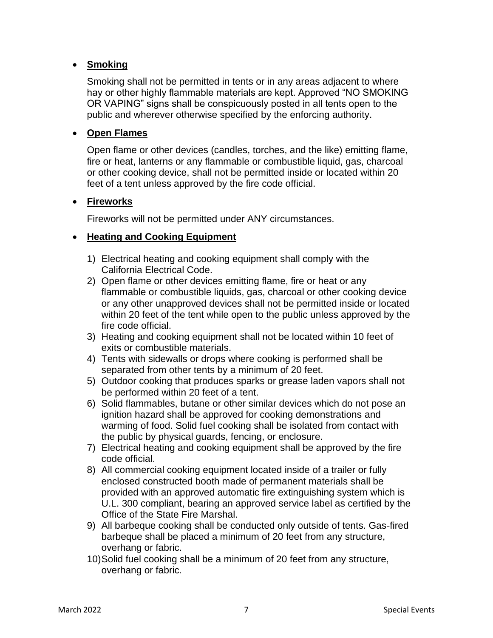## • **Smoking**

Smoking shall not be permitted in tents or in any areas adjacent to where hay or other highly flammable materials are kept. Approved "NO SMOKING OR VAPING" signs shall be conspicuously posted in all tents open to the public and wherever otherwise specified by the enforcing authority.

### • **Open Flames**

Open flame or other devices (candles, torches, and the like) emitting flame, fire or heat, lanterns or any flammable or combustible liquid, gas, charcoal or other cooking device, shall not be permitted inside or located within 20 feet of a tent unless approved by the fire code official.

#### • **Fireworks**

Fireworks will not be permitted under ANY circumstances.

### • **Heating and Cooking Equipment**

- 1) Electrical heating and cooking equipment shall comply with the California Electrical Code.
- 2) Open flame or other devices emitting flame, fire or heat or any flammable or combustible liquids, gas, charcoal or other cooking device or any other unapproved devices shall not be permitted inside or located within 20 feet of the tent while open to the public unless approved by the fire code official.
- 3) Heating and cooking equipment shall not be located within 10 feet of exits or combustible materials.
- 4) Tents with sidewalls or drops where cooking is performed shall be separated from other tents by a minimum of 20 feet.
- 5) Outdoor cooking that produces sparks or grease laden vapors shall not be performed within 20 feet of a tent.
- 6) Solid flammables, butane or other similar devices which do not pose an ignition hazard shall be approved for cooking demonstrations and warming of food. Solid fuel cooking shall be isolated from contact with the public by physical guards, fencing, or enclosure.
- 7) Electrical heating and cooking equipment shall be approved by the fire code official.
- 8) All commercial cooking equipment located inside of a trailer or fully enclosed constructed booth made of permanent materials shall be provided with an approved automatic fire extinguishing system which is U.L. 300 compliant, bearing an approved service label as certified by the Office of the State Fire Marshal.
- 9) All barbeque cooking shall be conducted only outside of tents. Gas-fired barbeque shall be placed a minimum of 20 feet from any structure, overhang or fabric.
- 10)Solid fuel cooking shall be a minimum of 20 feet from any structure, overhang or fabric.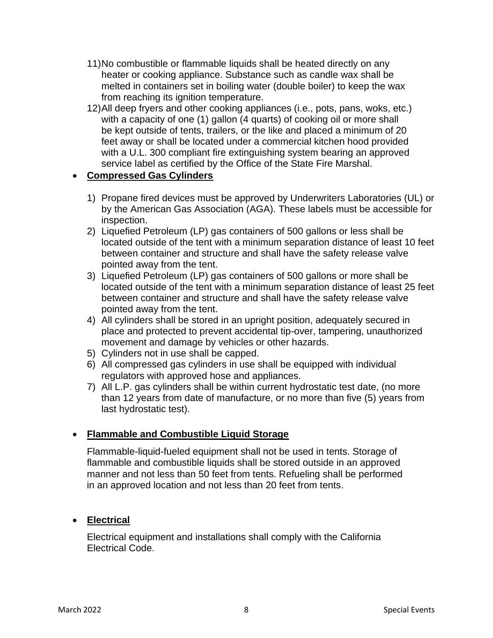- 11)No combustible or flammable liquids shall be heated directly on any heater or cooking appliance. Substance such as candle wax shall be melted in containers set in boiling water (double boiler) to keep the wax from reaching its ignition temperature.
- 12)All deep fryers and other cooking appliances (i.e., pots, pans, woks, etc.) with a capacity of one (1) gallon (4 quarts) of cooking oil or more shall be kept outside of tents, trailers, or the like and placed a minimum of 20 feet away or shall be located under a commercial kitchen hood provided with a U.L. 300 compliant fire extinguishing system bearing an approved service label as certified by the Office of the State Fire Marshal.

## • **Compressed Gas Cylinders**

- 1) Propane fired devices must be approved by Underwriters Laboratories (UL) or by the American Gas Association (AGA). These labels must be accessible for inspection.
- 2) Liquefied Petroleum (LP) gas containers of 500 gallons or less shall be located outside of the tent with a minimum separation distance of least 10 feet between container and structure and shall have the safety release valve pointed away from the tent.
- 3) Liquefied Petroleum (LP) gas containers of 500 gallons or more shall be located outside of the tent with a minimum separation distance of least 25 feet between container and structure and shall have the safety release valve pointed away from the tent.
- 4) All cylinders shall be stored in an upright position, adequately secured in place and protected to prevent accidental tip-over, tampering, unauthorized movement and damage by vehicles or other hazards.
- 5) Cylinders not in use shall be capped.
- 6) All compressed gas cylinders in use shall be equipped with individual regulators with approved hose and appliances.
- 7) All L.P. gas cylinders shall be within current hydrostatic test date, (no more than 12 years from date of manufacture, or no more than five (5) years from last hydrostatic test).

## • **Flammable and Combustible Liquid Storage**

Flammable-liquid-fueled equipment shall not be used in tents. Storage of flammable and combustible liquids shall be stored outside in an approved manner and not less than 50 feet from tents. Refueling shall be performed in an approved location and not less than 20 feet from tents.

## • **Electrical**

Electrical equipment and installations shall comply with the California Electrical Code.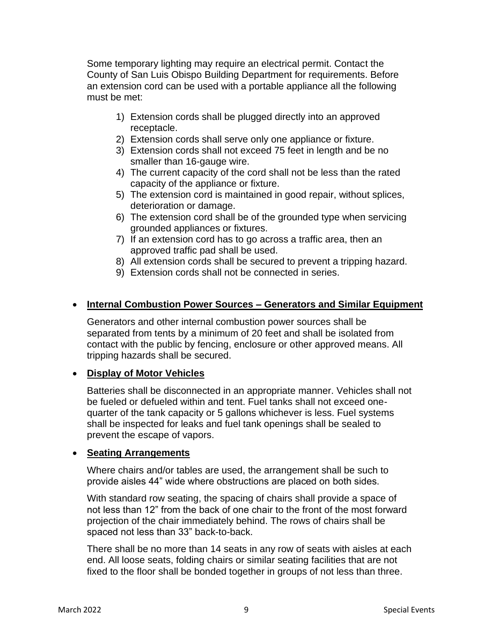Some temporary lighting may require an electrical permit. Contact the County of San Luis Obispo Building Department for requirements. Before an extension cord can be used with a portable appliance all the following must be met:

- 1) Extension cords shall be plugged directly into an approved receptacle.
- 2) Extension cords shall serve only one appliance or fixture.
- 3) Extension cords shall not exceed 75 feet in length and be no smaller than 16-gauge wire.
- 4) The current capacity of the cord shall not be less than the rated capacity of the appliance or fixture.
- 5) The extension cord is maintained in good repair, without splices, deterioration or damage.
- 6) The extension cord shall be of the grounded type when servicing grounded appliances or fixtures.
- 7) If an extension cord has to go across a traffic area, then an approved traffic pad shall be used.
- 8) All extension cords shall be secured to prevent a tripping hazard.
- 9) Extension cords shall not be connected in series.

## • **Internal Combustion Power Sources – Generators and Similar Equipment**

Generators and other internal combustion power sources shall be separated from tents by a minimum of 20 feet and shall be isolated from contact with the public by fencing, enclosure or other approved means. All tripping hazards shall be secured.

#### • **Display of Motor Vehicles**

Batteries shall be disconnected in an appropriate manner. Vehicles shall not be fueled or defueled within and tent. Fuel tanks shall not exceed onequarter of the tank capacity or 5 gallons whichever is less. Fuel systems shall be inspected for leaks and fuel tank openings shall be sealed to prevent the escape of vapors.

#### • **Seating Arrangements**

Where chairs and/or tables are used, the arrangement shall be such to provide aisles 44" wide where obstructions are placed on both sides.

With standard row seating, the spacing of chairs shall provide a space of not less than 12" from the back of one chair to the front of the most forward projection of the chair immediately behind. The rows of chairs shall be spaced not less than 33" back-to-back.

There shall be no more than 14 seats in any row of seats with aisles at each end. All loose seats, folding chairs or similar seating facilities that are not fixed to the floor shall be bonded together in groups of not less than three.